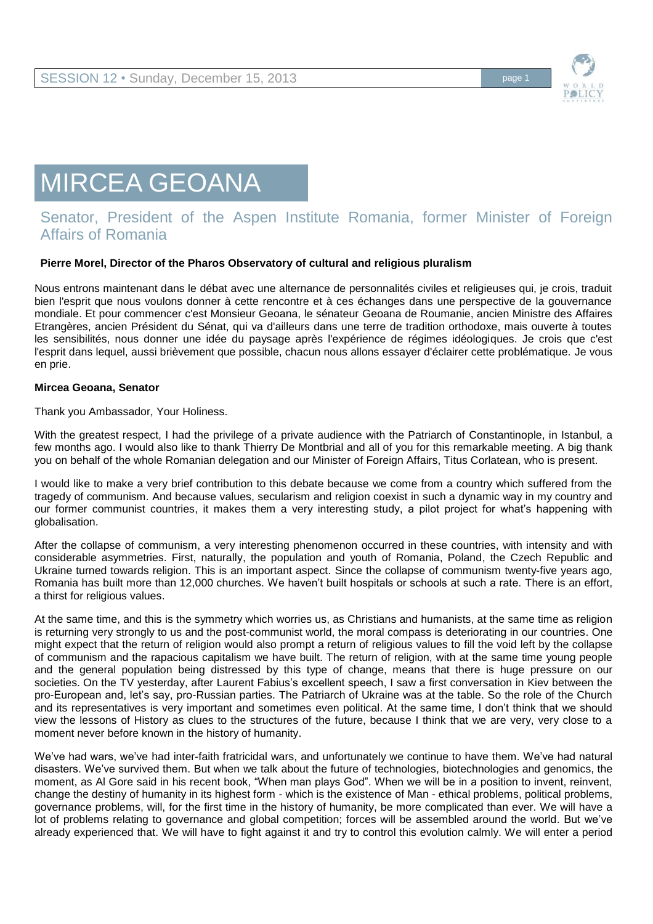

## MIRCEA GEOANA

## Senator, President of the Aspen Institute Romania, former Minister of Foreign Affairs of Romania

## **Pierre Morel, Director of the Pharos Observatory of cultural and religious pluralism**

Nous entrons maintenant dans le débat avec une alternance de personnalités civiles et religieuses qui, je crois, traduit bien l'esprit que nous voulons donner à cette rencontre et à ces échanges dans une perspective de la gouvernance mondiale. Et pour commencer c'est Monsieur Geoana, le sénateur Geoana de Roumanie, ancien Ministre des Affaires Etrangères, ancien Président du Sénat, qui va d'ailleurs dans une terre de tradition orthodoxe, mais ouverte à toutes les sensibilités, nous donner une idée du paysage après l'expérience de régimes idéologiques. Je crois que c'est l'esprit dans lequel, aussi brièvement que possible, chacun nous allons essayer d'éclairer cette problématique. Je vous en prie.

## **Mircea Geoana, Senator**

Thank you Ambassador, Your Holiness.

With the greatest respect, I had the privilege of a private audience with the Patriarch of Constantinople, in Istanbul, a few months ago. I would also like to thank Thierry De Montbrial and all of you for this remarkable meeting. A big thank you on behalf of the whole Romanian delegation and our Minister of Foreign Affairs, Titus Corlatean, who is present.

I would like to make a very brief contribution to this debate because we come from a country which suffered from the tragedy of communism. And because values, secularism and religion coexist in such a dynamic way in my country and our former communist countries, it makes them a very interesting study, a pilot project for what's happening with globalisation.

After the collapse of communism, a very interesting phenomenon occurred in these countries, with intensity and with considerable asymmetries. First, naturally, the population and youth of Romania, Poland, the Czech Republic and Ukraine turned towards religion. This is an important aspect. Since the collapse of communism twenty-five years ago, Romania has built more than 12,000 churches. We haven't built hospitals or schools at such a rate. There is an effort, a thirst for religious values.

At the same time, and this is the symmetry which worries us, as Christians and humanists, at the same time as religion is returning very strongly to us and the post-communist world, the moral compass is deteriorating in our countries. One might expect that the return of religion would also prompt a return of religious values to fill the void left by the collapse of communism and the rapacious capitalism we have built. The return of religion, with at the same time young people and the general population being distressed by this type of change, means that there is huge pressure on our societies. On the TV yesterday, after Laurent Fabius's excellent speech, I saw a first conversation in Kiev between the pro-European and, let's say, pro-Russian parties. The Patriarch of Ukraine was at the table. So the role of the Church and its representatives is very important and sometimes even political. At the same time, I don't think that we should view the lessons of History as clues to the structures of the future, because I think that we are very, very close to a moment never before known in the history of humanity.

We've had wars, we've had inter-faith fratricidal wars, and unfortunately we continue to have them. We've had natural disasters. We've survived them. But when we talk about the future of technologies, biotechnologies and genomics, the moment, as Al Gore said in his recent book, "When man plays God". When we will be in a position to invent, reinvent, change the destiny of humanity in its highest form - which is the existence of Man - ethical problems, political problems, governance problems, will, for the first time in the history of humanity, be more complicated than ever. We will have a lot of problems relating to governance and global competition; forces will be assembled around the world. But we've already experienced that. We will have to fight against it and try to control this evolution calmly. We will enter a period